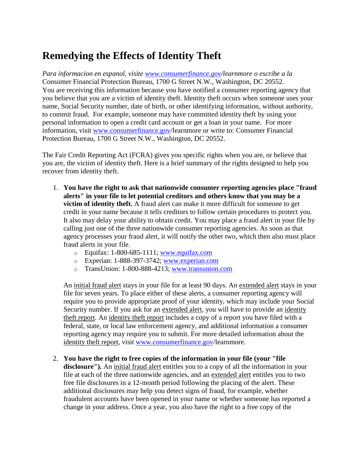## **Remedying the Effects of Identity Theft**

*Para informacion en espanol, visite [www.consumerfinance.gov/](http://www.consumerfinance.gov/)learnmore o escribe a la*  Consumer Financial Protection Bureau, 1700 G Street N.W., Washington, DC 20552. You are receiving this information because you have notified a consumer reporting agency that you believe that you are a victim of identity theft. Identity theft occurs when someone uses your name, Social Security number, date of birth, or other identifying information, without authority, to commit fraud. For example, someone may have committed identity theft by using your personal information to open a credit card account or get a loan in your name. For more information, visit [www.consumerfinance.gov/](http://www.consumerfinance.gov/)learnmore or write to: Consumer Financial Protection Bureau, 1700 G Street N.W., Washington, DC 20552.

The Fair Credit Reporting Act (FCRA) gives you specific rights when you are, or believe that you are, the victim of identity theft. Here is a brief summary of the rights designed to help you recover from identity theft.

- 1. **You have the right to ask that nationwide consumer reporting agencies place "fraud alerts" in your file to let potential creditors and others know that you may be a victim of identity theft.** A fraud alert can make it more difficult for someone to get credit in your name because it tells creditors to follow certain procedures to protect you. It also may delay your ability to obtain credit. You may place a fraud alert in your file by calling just one of the three nationwide consumer reporting agencies. As soon as that agency processes your fraud alert, it will notify the other two, which then also must place fraud alerts in your file.
	- $\degree$  Equifax: 1-800-685-1111; [www.equifax.com](http://www.equifax.com/)
	- o Experian: 1-888-397-3742; [www.experian.com](http://www.experian.com/)
	- o TransUnion: 1-800-888-4213; [www.transunion.com](http://www.transunion.com/)

An initial fraud alert stays in your file for at least 90 days. An extended alert stays in your file for seven years. To place either of these alerts, a consumer reporting agency will require you to provide appropriate proof of your identity, which may include your Social Security number. If you ask for an extended alert, you will have to provide an identity theft report. An identity theft report includes a copy of a report you have filed with a federal, state, or local law enforcement agency, and additional information a consumer reporting agency may require you to submit. For more detailed information about the identity theft report, visit [www.consumerfinance.gov/](http://www.consumerfinance.gov/)learnmore.

## 2. **You have the right to free copies of the information in your file (your "file**

**disclosure").** An initial fraud alert entitles you to a copy of all the information in your file at each of the three nationwide agencies, and an extended alert entitles you to two free file disclosures in a 12-month period following the placing of the alert. These additional disclosures may help you detect signs of fraud, for example, whether fraudulent accounts have been opened in your name or whether someone has reported a change in your address. Once a year, you also have the right to a free copy of the